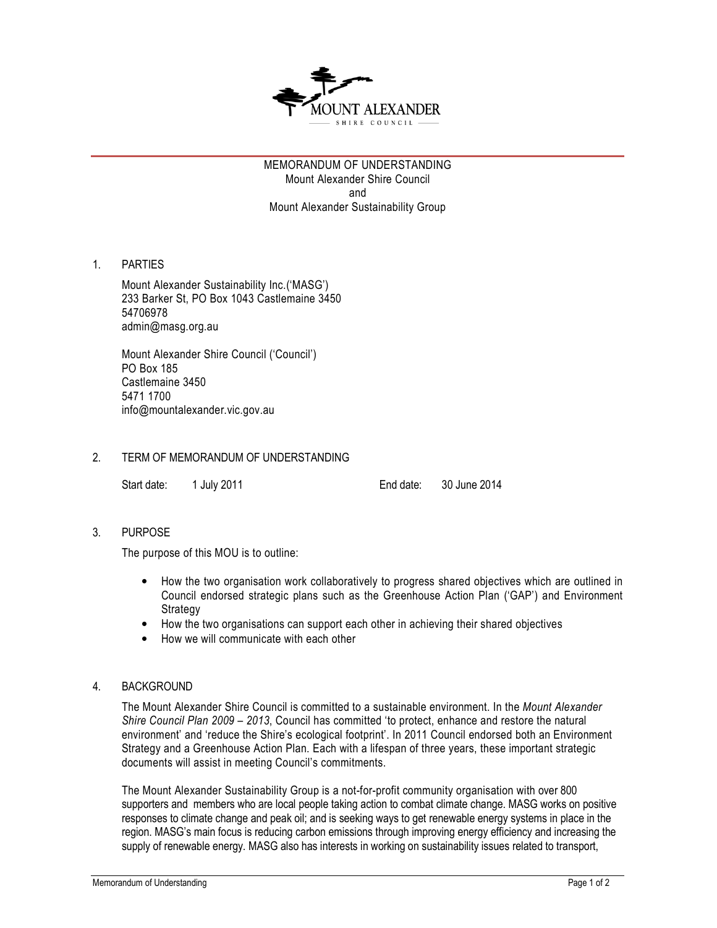

## MEMORANDUM OF UNDERSTANDING Mount Alexander Shire Council and Mount Alexander Sustainability Group

1. PARTIES

Mount Alexander Sustainability Inc.('MASG') 233 Barker St, PO Box 1043 Castlemaine 3450 54706978 admin@masg.org.au

Mount Alexander Shire Council ('Council') PO Box 185 Castlemaine 3450 5471 1700 info@mountalexander.vic.gov.au

# 2. TERM OF MEMORANDUM OF UNDERSTANDING

Start date: 1 July 2011 **End date:** 30 June 2014

3. PURPOSE

The purpose of this MOU is to outline:

- How the two organisation work collaboratively to progress shared objectives which are outlined in Council endorsed strategic plans such as the Greenhouse Action Plan ('GAP') and Environment **Strategy**
- How the two organisations can support each other in achieving their shared objectives
- How we will communicate with each other

# 4. BACKGROUND

The Mount Alexander Shire Council is committed to a sustainable environment. In the Mount Alexander Shire Council Plan 2009 – 2013, Council has committed 'to protect, enhance and restore the natural environment' and 'reduce the Shire's ecological footprint'. In 2011 Council endorsed both an Environment Strategy and a Greenhouse Action Plan. Each with a lifespan of three years, these important strategic documents will assist in meeting Council's commitments.

The Mount Alexander Sustainability Group is a not-for-profit community organisation with over 800 supporters and members who are local people taking action to combat climate change. MASG works on positive responses to climate change and peak oil; and is seeking ways to get renewable energy systems in place in the region. MASG's main focus is reducing carbon emissions through improving energy efficiency and increasing the supply of renewable energy. MASG also has interests in working on sustainability issues related to transport,